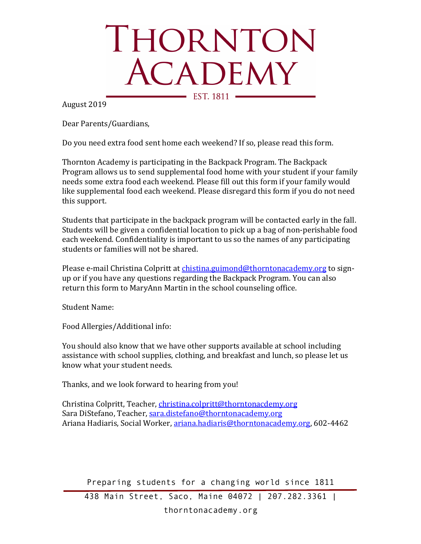## THORNTON ACADEMY EST. 1811 -

August 2019

Dear Parents/Guardians,

Do you need extra food sent home each weekend? If so, please read this form.

Thornton Academy is participating in the Backpack Program. The Backpack Program allows us to send supplemental food home with your student if your family needs some extra food each weekend. Please fill out this form if your family would like supplemental food each weekend. Please disregard this form if you do not need this support.

Students that participate in the backpack program will be contacted early in the fall. Students will be given a confidential location to pick up a bag of non-perishable food each weekend. Confidentiality is important to us so the names of any participating students or families will not be shared.

Please e-mail Christina Colpritt at chistina.guimond@thorntonacademy.org to signup or if you have any questions regarding the Backpack Program. You can also return this form to MaryAnn Martin in the school counseling office.

Student Name:

Food Allergies/Additional info:

You should also know that we have other supports available at school including assistance with school supplies, clothing, and breakfast and lunch, so please let us know what your student needs.

Thanks, and we look forward to hearing from you!

Christina Colpritt, Teacher, christina.colpritt@thorntonacdemy.org Sara DiStefano, Teacher, sara.distefano@thorntonacademy.org Ariana Hadiaris, Social Worker, ariana.hadiaris@thorntonacademy.org, 602-4462

Preparing students for a changing world since 1811

438 Main Street, Saco, Maine 04072 | 207.282.3361 |

thorntonacademy.org